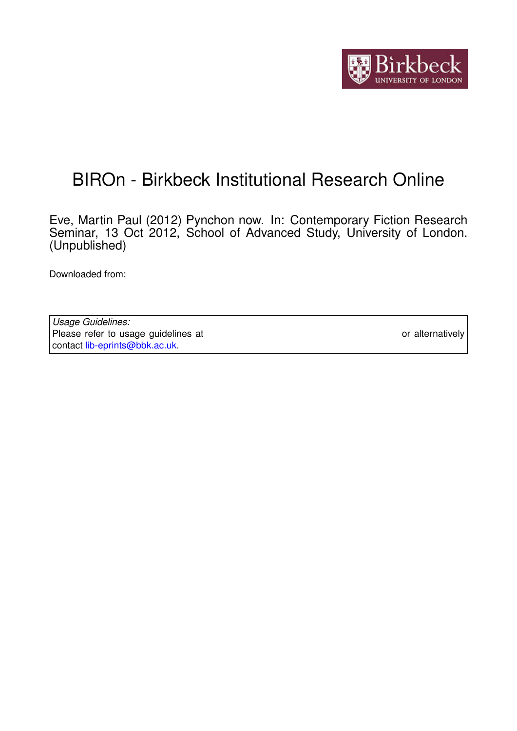

# BIROn - Birkbeck Institutional Research Online

Eve, Martin Paul (2012) Pynchon now. In: Contemporary Fiction Research Seminar, 13 Oct 2012, School of Advanced Study, University of London. (Unpublished)

Downloaded from: <https://eprints.bbk.ac.uk/id/eprint/12243/>

*Usage Guidelines:* Please refer to usage guidelines at <https://eprints.bbk.ac.uk/policies.html> or alternatively contact [lib-eprints@bbk.ac.uk.](mailto:lib-eprints@bbk.ac.uk)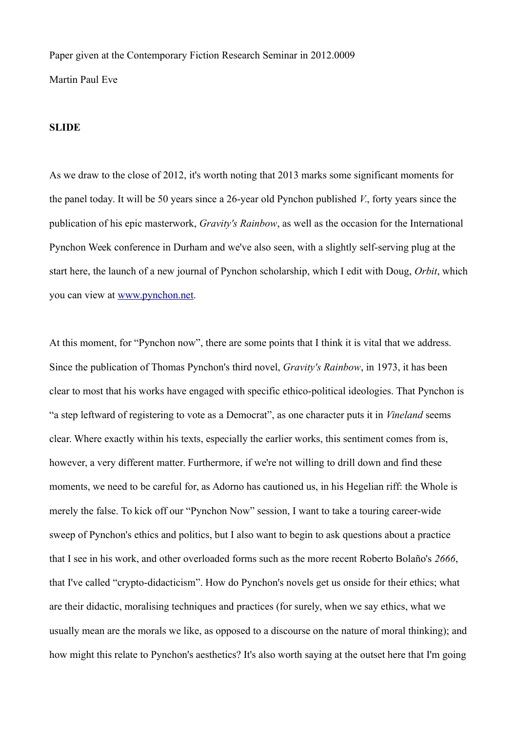Paper given at the Contemporary Fiction Research Seminar in 2012.0009 Martin Paul Eve

# **SLIDE**

As we draw to the close of 2012, it's worth noting that 2013 marks some significant moments for the panel today. It will be 50 years since a 26-year old Pynchon published *V.*, forty years since the publication of his epic masterwork, *Gravity's Rainbow*, as well as the occasion for the International Pynchon Week conference in Durham and we've also seen, with a slightly self-serving plug at the start here, the launch of a new journal of Pynchon scholarship, which I edit with Doug, *Orbit*, which you can view at [www.pynchon.net.](http://www.pynchon.net/)

At this moment, for "Pynchon now", there are some points that I think it is vital that we address. Since the publication of Thomas Pynchon's third novel, *Gravity's Rainbow*, in 1973, it has been clear to most that his works have engaged with specific ethico-political ideologies. That Pynchon is "a step leftward of registering to vote as a Democrat", as one character puts it in *Vineland* seems clear. Where exactly within his texts, especially the earlier works, this sentiment comes from is, however, a very different matter. Furthermore, if we're not willing to drill down and find these moments, we need to be careful for, as Adorno has cautioned us, in his Hegelian riff: the Whole is merely the false. To kick off our "Pynchon Now" session, I want to take a touring career-wide sweep of Pynchon's ethics and politics, but I also want to begin to ask questions about a practice that I see in his work, and other overloaded forms such as the more recent Roberto Bolaño's *2666*, that I've called "crypto-didacticism". How do Pynchon's novels get us onside for their ethics; what are their didactic, moralising techniques and practices (for surely, when we say ethics, what we usually mean are the morals we like, as opposed to a discourse on the nature of moral thinking); and how might this relate to Pynchon's aesthetics? It's also worth saying at the outset here that I'm going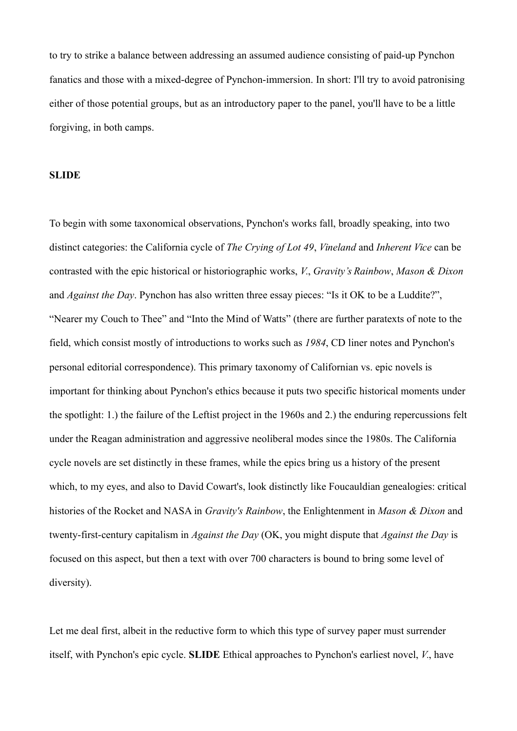to try to strike a balance between addressing an assumed audience consisting of paid-up Pynchon fanatics and those with a mixed-degree of Pynchon-immersion. In short: I'll try to avoid patronising either of those potential groups, but as an introductory paper to the panel, you'll have to be a little forgiving, in both camps.

## **SLIDE**

To begin with some taxonomical observations, Pynchon's works fall, broadly speaking, into two distinct categories: the California cycle of *The Crying of Lot 49*, *Vineland* and *Inherent Vice* can be contrasted with the epic historical or historiographic works, *V.*, *Gravity's Rainbow*, *Mason & Dixon*  and *Against the Day*. Pynchon has also written three essay pieces: "Is it OK to be a Luddite?", "Nearer my Couch to Thee" and "Into the Mind of Watts" (there are further paratexts of note to the field, which consist mostly of introductions to works such as *1984*, CD liner notes and Pynchon's personal editorial correspondence). This primary taxonomy of Californian vs. epic novels is important for thinking about Pynchon's ethics because it puts two specific historical moments under the spotlight: 1.) the failure of the Leftist project in the 1960s and 2.) the enduring repercussions felt under the Reagan administration and aggressive neoliberal modes since the 1980s. The California cycle novels are set distinctly in these frames, while the epics bring us a history of the present which, to my eyes, and also to David Cowart's, look distinctly like Foucauldian genealogies: critical histories of the Rocket and NASA in *Gravity's Rainbow*, the Enlightenment in *Mason & Dixon* and twenty-first-century capitalism in *Against the Day* (OK, you might dispute that *Against the Day* is focused on this aspect, but then a text with over 700 characters is bound to bring some level of diversity).

Let me deal first, albeit in the reductive form to which this type of survey paper must surrender itself, with Pynchon's epic cycle. **SLIDE** Ethical approaches to Pynchon's earliest novel, *V.*, have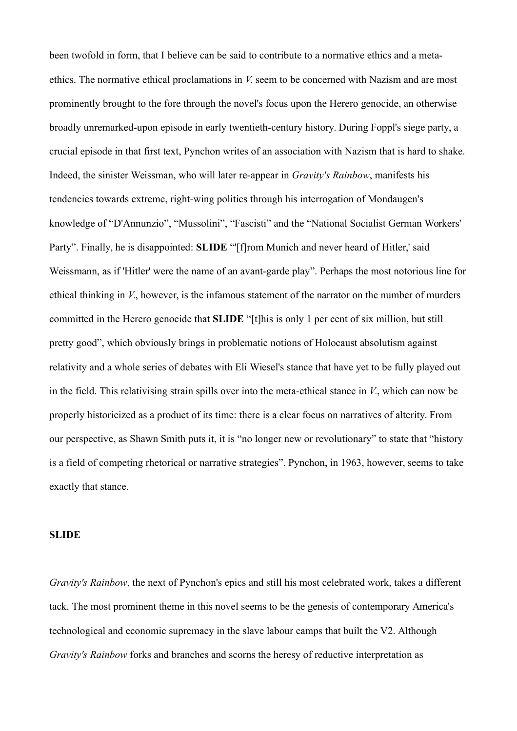been twofold in form, that I believe can be said to contribute to a normative ethics and a metaethics. The normative ethical proclamations in *V.* seem to be concerned with Nazism and are most prominently brought to the fore through the novel's focus upon the Herero genocide, an otherwise broadly unremarked-upon episode in early twentieth-century history. During Foppl's siege party, a crucial episode in that first text, Pynchon writes of an association with Nazism that is hard to shake. Indeed, the sinister Weissman, who will later re-appear in *Gravity's Rainbow*, manifests his tendencies towards extreme, right-wing politics through his interrogation of Mondaugen's knowledge of "D'Annunzio", "Mussolini", "Fascisti" and the "National Socialist German Workers' Party". Finally, he is disappointed: **SLIDE** "[f]rom Munich and never heard of Hitler,' said Weissmann, as if 'Hitler' were the name of an avant-garde play". Perhaps the most notorious line for ethical thinking in *V.*, however, is the infamous statement of the narrator on the number of murders committed in the Herero genocide that **SLIDE** "[t]his is only 1 per cent of six million, but still pretty good", which obviously brings in problematic notions of Holocaust absolutism against relativity and a whole series of debates with Eli Wiesel's stance that have yet to be fully played out in the field. This relativising strain spills over into the meta-ethical stance in *V.*, which can now be properly historicized as a product of its time: there is a clear focus on narratives of alterity. From our perspective, as Shawn Smith puts it, it is "no longer new or revolutionary" to state that "history is a field of competing rhetorical or narrative strategies". Pynchon, in 1963, however, seems to take exactly that stance.

### **SLIDE**

*Gravity's Rainbow*, the next of Pynchon's epics and still his most celebrated work, takes a different tack. The most prominent theme in this novel seems to be the genesis of contemporary America's technological and economic supremacy in the slave labour camps that built the V2. Although *Gravity's Rainbow* forks and branches and scorns the heresy of reductive interpretation as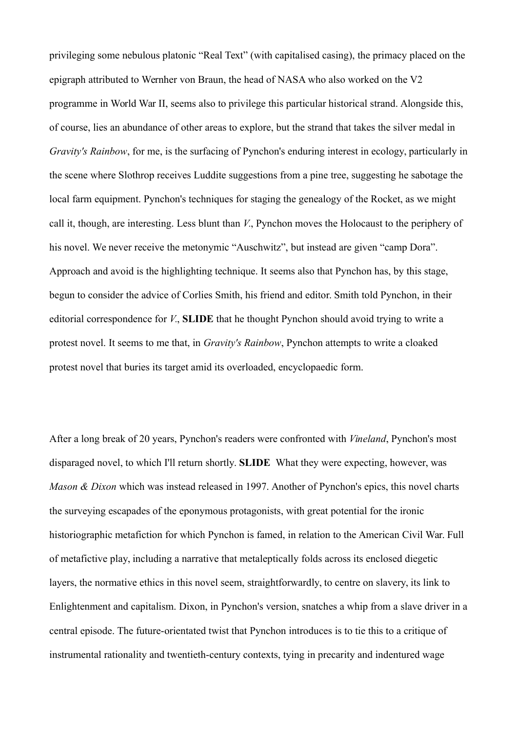privileging some nebulous platonic "Real Text" (with capitalised casing), the primacy placed on the epigraph attributed to Wernher von Braun, the head of NASA who also worked on the V2 programme in World War II, seems also to privilege this particular historical strand. Alongside this, of course, lies an abundance of other areas to explore, but the strand that takes the silver medal in *Gravity's Rainbow*, for me, is the surfacing of Pynchon's enduring interest in ecology, particularly in the scene where Slothrop receives Luddite suggestions from a pine tree, suggesting he sabotage the local farm equipment. Pynchon's techniques for staging the genealogy of the Rocket, as we might call it, though, are interesting. Less blunt than *V.*, Pynchon moves the Holocaust to the periphery of his novel. We never receive the metonymic "Auschwitz", but instead are given "camp Dora". Approach and avoid is the highlighting technique. It seems also that Pynchon has, by this stage, begun to consider the advice of Corlies Smith, his friend and editor. Smith told Pynchon, in their editorial correspondence for *V.*, **SLIDE** that he thought Pynchon should avoid trying to write a protest novel. It seems to me that, in *Gravity's Rainbow*, Pynchon attempts to write a cloaked protest novel that buries its target amid its overloaded, encyclopaedic form.

After a long break of 20 years, Pynchon's readers were confronted with *Vineland*, Pynchon's most disparaged novel, to which I'll return shortly. **SLIDE** What they were expecting, however, was *Mason & Dixon* which was instead released in 1997. Another of Pynchon's epics, this novel charts the surveying escapades of the eponymous protagonists, with great potential for the ironic historiographic metafiction for which Pynchon is famed, in relation to the American Civil War. Full of metafictive play, including a narrative that metaleptically folds across its enclosed diegetic layers, the normative ethics in this novel seem, straightforwardly, to centre on slavery, its link to Enlightenment and capitalism. Dixon, in Pynchon's version, snatches a whip from a slave driver in a central episode. The future-orientated twist that Pynchon introduces is to tie this to a critique of instrumental rationality and twentieth-century contexts, tying in precarity and indentured wage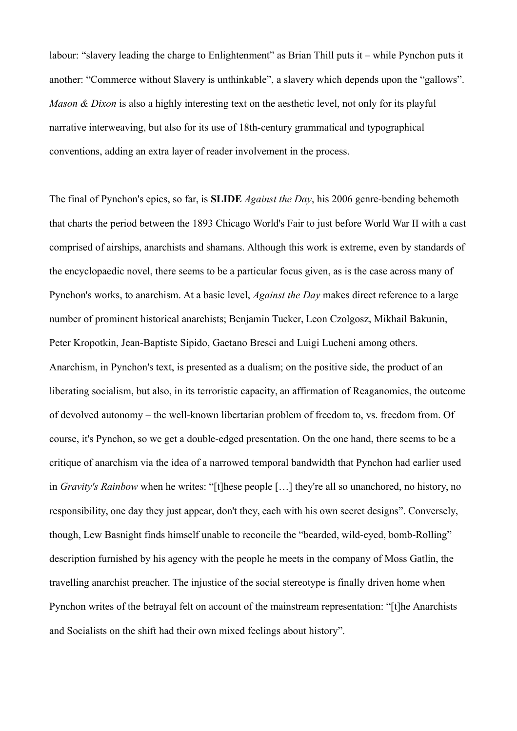labour: "slavery leading the charge to Enlightenment" as Brian Thill puts it – while Pynchon puts it another: "Commerce without Slavery is unthinkable", a slavery which depends upon the "gallows". *Mason & Dixon* is also a highly interesting text on the aesthetic level, not only for its playful narrative interweaving, but also for its use of 18th-century grammatical and typographical conventions, adding an extra layer of reader involvement in the process.

The final of Pynchon's epics, so far, is **SLIDE** *Against the Day*, his 2006 genre-bending behemoth that charts the period between the 1893 Chicago World's Fair to just before World War II with a cast comprised of airships, anarchists and shamans. Although this work is extreme, even by standards of the encyclopaedic novel, there seems to be a particular focus given, as is the case across many of Pynchon's works, to anarchism. At a basic level, *Against the Day* makes direct reference to a large number of prominent historical anarchists; Benjamin Tucker, Leon Czolgosz, Mikhail Bakunin, Peter Kropotkin, Jean-Baptiste Sipido, Gaetano Bresci and Luigi Lucheni among others. Anarchism, in Pynchon's text, is presented as a dualism; on the positive side, the product of an liberating socialism, but also, in its terroristic capacity, an affirmation of Reaganomics, the outcome of devolved autonomy – the well-known libertarian problem of freedom to, vs. freedom from. Of course, it's Pynchon, so we get a double-edged presentation. On the one hand, there seems to be a critique of anarchism via the idea of a narrowed temporal bandwidth that Pynchon had earlier used in *Gravity's Rainbow* when he writes: "[t]hese people […] they're all so unanchored, no history, no responsibility, one day they just appear, don't they, each with his own secret designs". Conversely, though, Lew Basnight finds himself unable to reconcile the "bearded, wild-eyed, bomb-Rolling" description furnished by his agency with the people he meets in the company of Moss Gatlin, the travelling anarchist preacher. The injustice of the social stereotype is finally driven home when Pynchon writes of the betrayal felt on account of the mainstream representation: "[t]he Anarchists and Socialists on the shift had their own mixed feelings about history".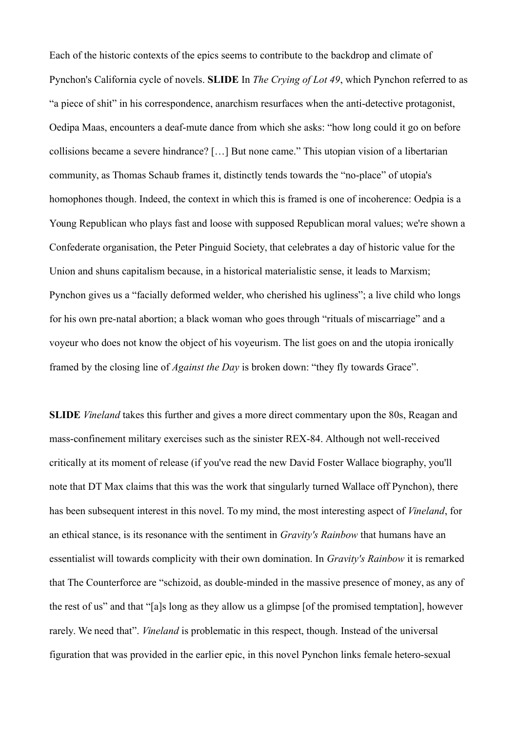Each of the historic contexts of the epics seems to contribute to the backdrop and climate of Pynchon's California cycle of novels. **SLIDE** In *The Crying of Lot 49*, which Pynchon referred to as "a piece of shit" in his correspondence, anarchism resurfaces when the anti-detective protagonist, Oedipa Maas, encounters a deaf-mute dance from which she asks: "how long could it go on before collisions became a severe hindrance? […] But none came." This utopian vision of a libertarian community, as Thomas Schaub frames it, distinctly tends towards the "no-place" of utopia's homophones though. Indeed, the context in which this is framed is one of incoherence: Oedpia is a Young Republican who plays fast and loose with supposed Republican moral values; we're shown a Confederate organisation, the Peter Pinguid Society, that celebrates a day of historic value for the Union and shuns capitalism because, in a historical materialistic sense, it leads to Marxism; Pynchon gives us a "facially deformed welder, who cherished his ugliness"; a live child who longs for his own pre-natal abortion; a black woman who goes through "rituals of miscarriage" and a voyeur who does not know the object of his voyeurism. The list goes on and the utopia ironically framed by the closing line of *Against the Day* is broken down: "they fly towards Grace".

**SLIDE** *Vineland* takes this further and gives a more direct commentary upon the 80s, Reagan and mass-confinement military exercises such as the sinister REX-84. Although not well-received critically at its moment of release (if you've read the new David Foster Wallace biography, you'll note that DT Max claims that this was the work that singularly turned Wallace off Pynchon), there has been subsequent interest in this novel. To my mind, the most interesting aspect of *Vineland*, for an ethical stance, is its resonance with the sentiment in *Gravity's Rainbow* that humans have an essentialist will towards complicity with their own domination. In *Gravity's Rainbow* it is remarked that The Counterforce are "schizoid, as double-minded in the massive presence of money, as any of the rest of us" and that "[a]s long as they allow us a glimpse [of the promised temptation], however rarely. We need that". *Vineland* is problematic in this respect, though. Instead of the universal figuration that was provided in the earlier epic, in this novel Pynchon links female hetero-sexual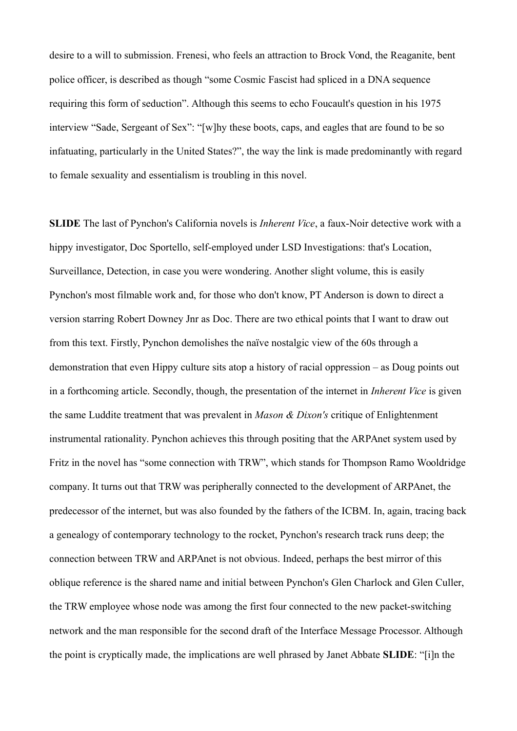desire to a will to submission. Frenesi, who feels an attraction to Brock Vond, the Reaganite, bent police officer, is described as though "some Cosmic Fascist had spliced in a DNA sequence requiring this form of seduction". Although this seems to echo Foucault's question in his 1975 interview "Sade, Sergeant of Sex": "[w]hy these boots, caps, and eagles that are found to be so infatuating, particularly in the United States?", the way the link is made predominantly with regard to female sexuality and essentialism is troubling in this novel.

**SLIDE** The last of Pynchon's California novels is *Inherent Vice*, a faux-Noir detective work with a hippy investigator, Doc Sportello, self-employed under LSD Investigations: that's Location, Surveillance, Detection, in case you were wondering. Another slight volume, this is easily Pynchon's most filmable work and, for those who don't know, PT Anderson is down to direct a version starring Robert Downey Jnr as Doc. There are two ethical points that I want to draw out from this text. Firstly, Pynchon demolishes the naïve nostalgic view of the 60s through a demonstration that even Hippy culture sits atop a history of racial oppression – as Doug points out in a forthcoming article. Secondly, though, the presentation of the internet in *Inherent Vice* is given the same Luddite treatment that was prevalent in *Mason & Dixon's* critique of Enlightenment instrumental rationality. Pynchon achieves this through positing that the ARPAnet system used by Fritz in the novel has "some connection with TRW", which stands for Thompson Ramo Wooldridge company. It turns out that TRW was peripherally connected to the development of ARPAnet, the predecessor of the internet, but was also founded by the fathers of the ICBM. In, again, tracing back a genealogy of contemporary technology to the rocket, Pynchon's research track runs deep; the connection between TRW and ARPAnet is not obvious. Indeed, perhaps the best mirror of this oblique reference is the shared name and initial between Pynchon's Glen Charlock and Glen Culler, the TRW employee whose node was among the first four connected to the new packet-switching network and the man responsible for the second draft of the Interface Message Processor. Although the point is cryptically made, the implications are well phrased by Janet Abbate **SLIDE**: "[i]n the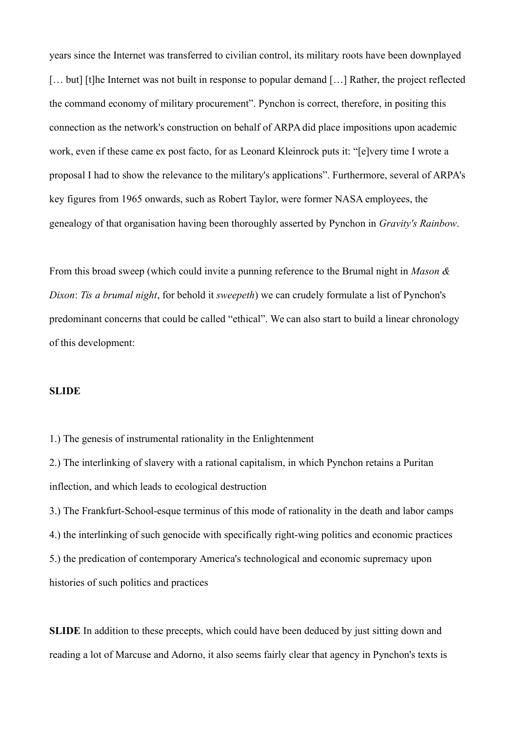years since the Internet was transferred to civilian control, its military roots have been downplayed [... but] [t]he Internet was not built in response to popular demand [...] Rather, the project reflected the command economy of military procurement". Pynchon is correct, therefore, in positing this connection as the network's construction on behalf of ARPA did place impositions upon academic work, even if these came ex post facto, for as Leonard Kleinrock puts it: "[e]very time I wrote a proposal I had to show the relevance to the military's applications". Furthermore, several of ARPA's key figures from 1965 onwards, such as Robert Taylor, were former NASA employees, the genealogy of that organisation having been thoroughly asserted by Pynchon in *Gravity's Rainbow*.

From this broad sweep (which could invite a punning reference to the Brumal night in *Mason & Dixon*: *Tis a brumal night*, for behold it *sweepeth*) we can crudely formulate a list of Pynchon's predominant concerns that could be called "ethical". We can also start to build a linear chronology of this development:

### **SLIDE**

1.) The genesis of instrumental rationality in the Enlightenment

2.) The interlinking of slavery with a rational capitalism, in which Pynchon retains a Puritan inflection, and which leads to ecological destruction

3.) The Frankfurt-School-esque terminus of this mode of rationality in the death and labor camps 4.) the interlinking of such genocide with specifically right-wing politics and economic practices 5.) the predication of contemporary America's technological and economic supremacy upon histories of such politics and practices

**SLIDE** In addition to these precepts, which could have been deduced by just sitting down and reading a lot of Marcuse and Adorno, it also seems fairly clear that agency in Pynchon's texts is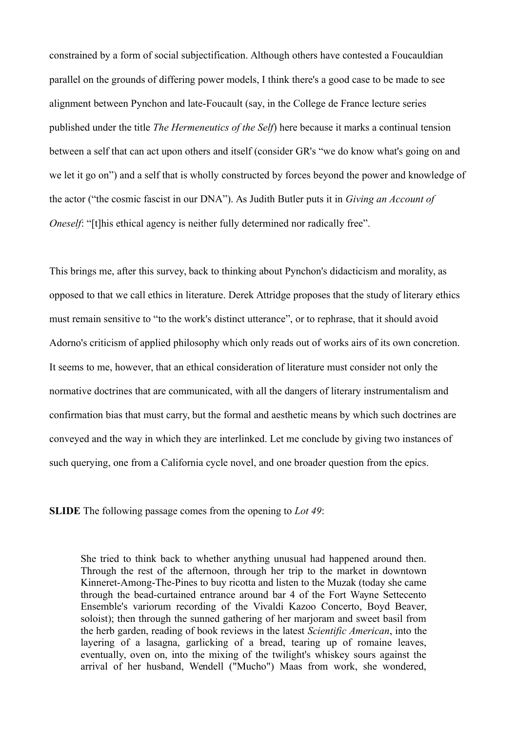constrained by a form of social subjectification. Although others have contested a Foucauldian parallel on the grounds of differing power models, I think there's a good case to be made to see alignment between Pynchon and late-Foucault (say, in the College de France lecture series published under the title *The Hermeneutics of the Self*) here because it marks a continual tension between a self that can act upon others and itself (consider GR's "we do know what's going on and we let it go on") and a self that is wholly constructed by forces beyond the power and knowledge of the actor ("the cosmic fascist in our DNA"). As Judith Butler puts it in *Giving an Account of Oneself*: "[t]his ethical agency is neither fully determined nor radically free".

This brings me, after this survey, back to thinking about Pynchon's didacticism and morality, as opposed to that we call ethics in literature. Derek Attridge proposes that the study of literary ethics must remain sensitive to "to the work's distinct utterance", or to rephrase, that it should avoid Adorno's criticism of applied philosophy which only reads out of works airs of its own concretion. It seems to me, however, that an ethical consideration of literature must consider not only the normative doctrines that are communicated, with all the dangers of literary instrumentalism and confirmation bias that must carry, but the formal and aesthetic means by which such doctrines are conveyed and the way in which they are interlinked. Let me conclude by giving two instances of such querying, one from a California cycle novel, and one broader question from the epics.

**SLIDE** The following passage comes from the opening to *Lot 49*:

She tried to think back to whether anything unusual had happened around then. Through the rest of the afternoon, through her trip to the market in downtown Kinneret-Among-The-Pines to buy ricotta and listen to the Muzak (today she came through the bead-curtained entrance around bar 4 of the Fort Wayne Settecento Ensemble's variorum recording of the Vivaldi Kazoo Concerto, Boyd Beaver, soloist); then through the sunned gathering of her marjoram and sweet basil from the herb garden, reading of book reviews in the latest *Scientific American*, into the layering of a lasagna, garlicking of a bread, tearing up of romaine leaves, eventually, oven on, into the mixing of the twilight's whiskey sours against the arrival of her husband, Wendell ("Mucho") Maas from work, she wondered,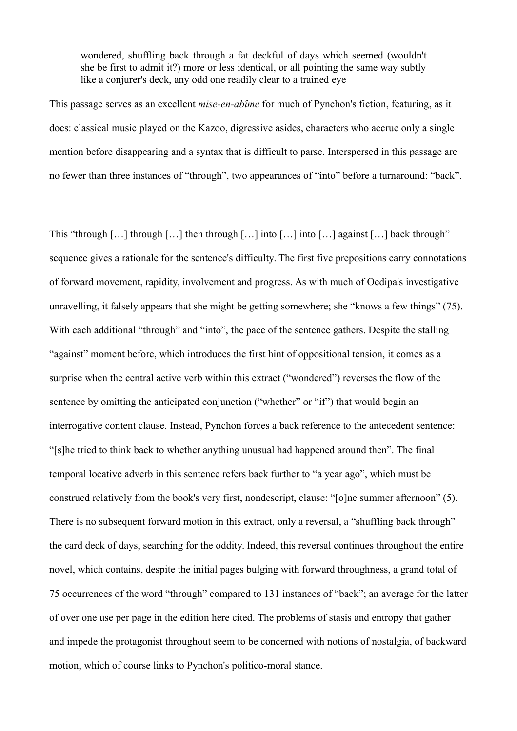wondered, shuffling back through a fat deckful of days which seemed (wouldn't she be first to admit it?) more or less identical, or all pointing the same way subtly like a conjurer's deck, any odd one readily clear to a trained eve

This passage serves as an excellent *mise-en-abîme* for much of Pynchon's fiction, featuring, as it does: classical music played on the Kazoo, digressive asides, characters who accrue only a single mention before disappearing and a syntax that is difficult to parse. Interspersed in this passage are no fewer than three instances of "through", two appearances of "into" before a turnaround: "back".

This "through […] through […] then through […] into […] into […] against […] back through" sequence gives a rationale for the sentence's difficulty. The first five prepositions carry connotations of forward movement, rapidity, involvement and progress. As with much of Oedipa's investigative unravelling, it falsely appears that she might be getting somewhere; she "knows a few things" (75). With each additional "through" and "into", the pace of the sentence gathers. Despite the stalling "against" moment before, which introduces the first hint of oppositional tension, it comes as a surprise when the central active verb within this extract ("wondered") reverses the flow of the sentence by omitting the anticipated conjunction ("whether" or "if") that would begin an interrogative content clause. Instead, Pynchon forces a back reference to the antecedent sentence: "[s]he tried to think back to whether anything unusual had happened around then". The final temporal locative adverb in this sentence refers back further to "a year ago", which must be construed relatively from the book's very first, nondescript, clause: "[o]ne summer afternoon" (5). There is no subsequent forward motion in this extract, only a reversal, a "shuffling back through" the card deck of days, searching for the oddity. Indeed, this reversal continues throughout the entire novel, which contains, despite the initial pages bulging with forward throughness, a grand total of 75 occurrences of the word "through" compared to 131 instances of "back"; an average for the latter of over one use per page in the edition here cited. The problems of stasis and entropy that gather and impede the protagonist throughout seem to be concerned with notions of nostalgia, of backward motion, which of course links to Pynchon's politico-moral stance.